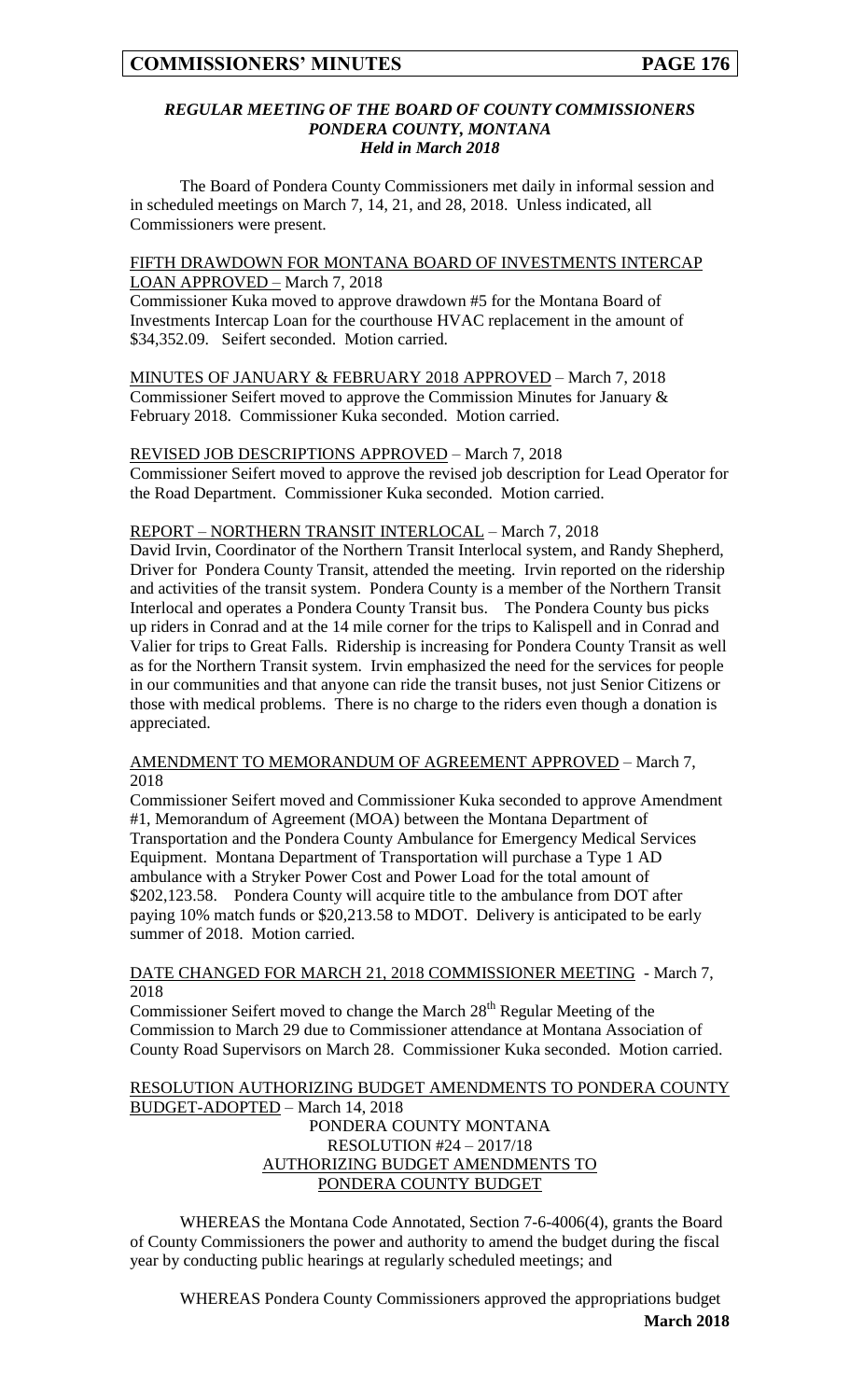### *REGULAR MEETING OF THE BOARD OF COUNTY COMMISSIONERS PONDERA COUNTY, MONTANA Held in March 2018*

The Board of Pondera County Commissioners met daily in informal session and in scheduled meetings on March 7, 14, 21, and 28, 2018. Unless indicated, all Commissioners were present.

### FIFTH DRAWDOWN FOR MONTANA BOARD OF INVESTMENTS INTERCAP LOAN APPROVED – March 7, 2018

Commissioner Kuka moved to approve drawdown #5 for the Montana Board of Investments Intercap Loan for the courthouse HVAC replacement in the amount of \$34,352.09. Seifert seconded. Motion carried.

MINUTES OF JANUARY & FEBRUARY 2018 APPROVED – March 7, 2018 Commissioner Seifert moved to approve the Commission Minutes for January & February 2018. Commissioner Kuka seconded. Motion carried.

### REVISED JOB DESCRIPTIONS APPROVED – March 7, 2018

Commissioner Seifert moved to approve the revised job description for Lead Operator for the Road Department. Commissioner Kuka seconded. Motion carried.

### REPORT – NORTHERN TRANSIT INTERLOCAL – March 7, 2018

David Irvin, Coordinator of the Northern Transit Interlocal system, and Randy Shepherd, Driver for Pondera County Transit, attended the meeting. Irvin reported on the ridership and activities of the transit system. Pondera County is a member of the Northern Transit Interlocal and operates a Pondera County Transit bus. The Pondera County bus picks up riders in Conrad and at the 14 mile corner for the trips to Kalispell and in Conrad and Valier for trips to Great Falls. Ridership is increasing for Pondera County Transit as well as for the Northern Transit system. Irvin emphasized the need for the services for people in our communities and that anyone can ride the transit buses, not just Senior Citizens or those with medical problems. There is no charge to the riders even though a donation is appreciated.

AMENDMENT TO MEMORANDUM OF AGREEMENT APPROVED – March 7, 2018

Commissioner Seifert moved and Commissioner Kuka seconded to approve Amendment #1, Memorandum of Agreement (MOA) between the Montana Department of Transportation and the Pondera County Ambulance for Emergency Medical Services Equipment. Montana Department of Transportation will purchase a Type 1 AD ambulance with a Stryker Power Cost and Power Load for the total amount of \$202,123.58. Pondera County will acquire title to the ambulance from DOT after paying 10% match funds or \$20,213.58 to MDOT. Delivery is anticipated to be early summer of 2018. Motion carried.

### DATE CHANGED FOR MARCH 21, 2018 COMMISSIONER MEETING - March 7, 2018

Commissioner Seifert moved to change the March 28<sup>th</sup> Regular Meeting of the Commission to March 29 due to Commissioner attendance at Montana Association of County Road Supervisors on March 28. Commissioner Kuka seconded. Motion carried.

#### RESOLUTION AUTHORIZING BUDGET AMENDMENTS TO PONDERA COUNTY BUDGET-ADOPTED – March 14, 2018

## PONDERA COUNTY MONTANA RESOLUTION #24 – 2017/18 AUTHORIZING BUDGET AMENDMENTS TO PONDERA COUNTY BUDGET

WHEREAS the Montana Code Annotated, Section 7-6-4006(4), grants the Board of County Commissioners the power and authority to amend the budget during the fiscal year by conducting public hearings at regularly scheduled meetings; and

**March 2018** WHEREAS Pondera County Commissioners approved the appropriations budget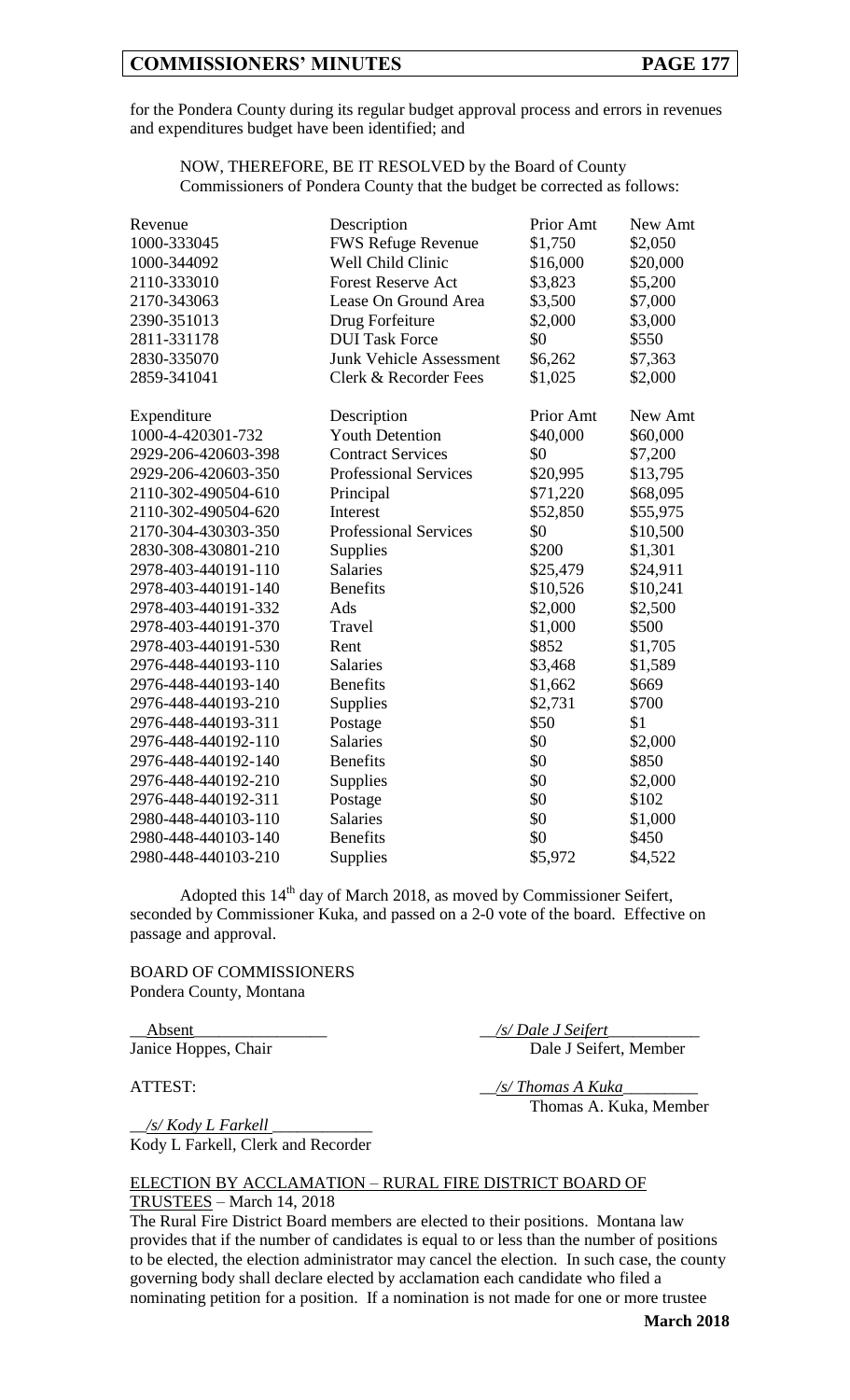## **COMMISSIONERS' MINUTES PAGE 177**

for the Pondera County during its regular budget approval process and errors in revenues and expenditures budget have been identified; and

NOW, THEREFORE, BE IT RESOLVED by the Board of County Commissioners of Pondera County that the budget be corrected as follows:

| Revenue             | Description                    | Prior Amt | New Amt  |
|---------------------|--------------------------------|-----------|----------|
| 1000-333045         | <b>FWS Refuge Revenue</b>      | \$1,750   | \$2,050  |
| 1000-344092         | Well Child Clinic              | \$16,000  | \$20,000 |
| 2110-333010         | <b>Forest Reserve Act</b>      | \$3,823   | \$5,200  |
| 2170-343063         | Lease On Ground Area           | \$3,500   | \$7,000  |
| 2390-351013         | Drug Forfeiture                | \$2,000   | \$3,000  |
| 2811-331178         | <b>DUI Task Force</b>          | \$0       | \$550    |
| 2830-335070         | <b>Junk Vehicle Assessment</b> | \$6,262   | \$7,363  |
|                     |                                |           |          |
| 2859-341041         | Clerk & Recorder Fees          | \$1,025   | \$2,000  |
| Expenditure         | Description                    | Prior Amt | New Amt  |
| 1000-4-420301-732   | <b>Youth Detention</b>         | \$40,000  | \$60,000 |
| 2929-206-420603-398 | <b>Contract Services</b>       | \$0       | \$7,200  |
| 2929-206-420603-350 | <b>Professional Services</b>   | \$20,995  | \$13,795 |
| 2110-302-490504-610 | Principal                      | \$71,220  | \$68,095 |
| 2110-302-490504-620 | Interest                       | \$52,850  | \$55,975 |
| 2170-304-430303-350 | <b>Professional Services</b>   | \$0       | \$10,500 |
| 2830-308-430801-210 | Supplies                       | \$200     | \$1,301  |
| 2978-403-440191-110 | <b>Salaries</b>                | \$25,479  | \$24,911 |
| 2978-403-440191-140 | <b>Benefits</b>                | \$10,526  | \$10,241 |
| 2978-403-440191-332 | Ads                            | \$2,000   | \$2,500  |
| 2978-403-440191-370 | Travel                         | \$1,000   | \$500    |
| 2978-403-440191-530 | Rent                           | \$852     | \$1,705  |
| 2976-448-440193-110 | <b>Salaries</b>                | \$3,468   | \$1,589  |
| 2976-448-440193-140 | <b>Benefits</b>                | \$1,662   | \$669    |
| 2976-448-440193-210 | Supplies                       | \$2,731   | \$700    |
| 2976-448-440193-311 | Postage                        | \$50      | \$1      |
| 2976-448-440192-110 | Salaries                       | \$0       | \$2,000  |
| 2976-448-440192-140 | <b>Benefits</b>                | \$0       | \$850    |
| 2976-448-440192-210 | Supplies                       | \$0       | \$2,000  |
| 2976-448-440192-311 | Postage                        | \$0       | \$102    |
| 2980-448-440103-110 | <b>Salaries</b>                | \$0       | \$1,000  |
| 2980-448-440103-140 | <b>Benefits</b>                | \$0       | \$450    |
| 2980-448-440103-210 | Supplies                       | \$5,972   | \$4,522  |

Adopted this  $14<sup>th</sup>$  day of March 2018, as moved by Commissioner Seifert, seconded by Commissioner Kuka, and passed on a 2-0 vote of the board. Effective on passage and approval.

BOARD OF COMMISSIONERS Pondera County, Montana

\_\_Absent\_\_\_\_\_\_\_\_\_\_\_\_\_\_\_\_ \_\_*/s/ Dale J Seifert*\_\_\_\_\_\_\_\_\_\_\_

Janice Hoppes, Chair Dale J Seifert, Member

\_\_*/s/ Kody L Farkell* \_\_\_\_\_\_\_\_\_\_\_\_ Kody L Farkell, Clerk and Recorder

ATTEST:  $\frac{1}{s}$  /s/ Thomas A Kuka Thomas A. Kuka, Member

### ELECTION BY ACCLAMATION – RURAL FIRE DISTRICT BOARD OF TRUSTEES – March 14, 2018

The Rural Fire District Board members are elected to their positions. Montana law provides that if the number of candidates is equal to or less than the number of positions to be elected, the election administrator may cancel the election. In such case, the county governing body shall declare elected by acclamation each candidate who filed a nominating petition for a position. If a nomination is not made for one or more trustee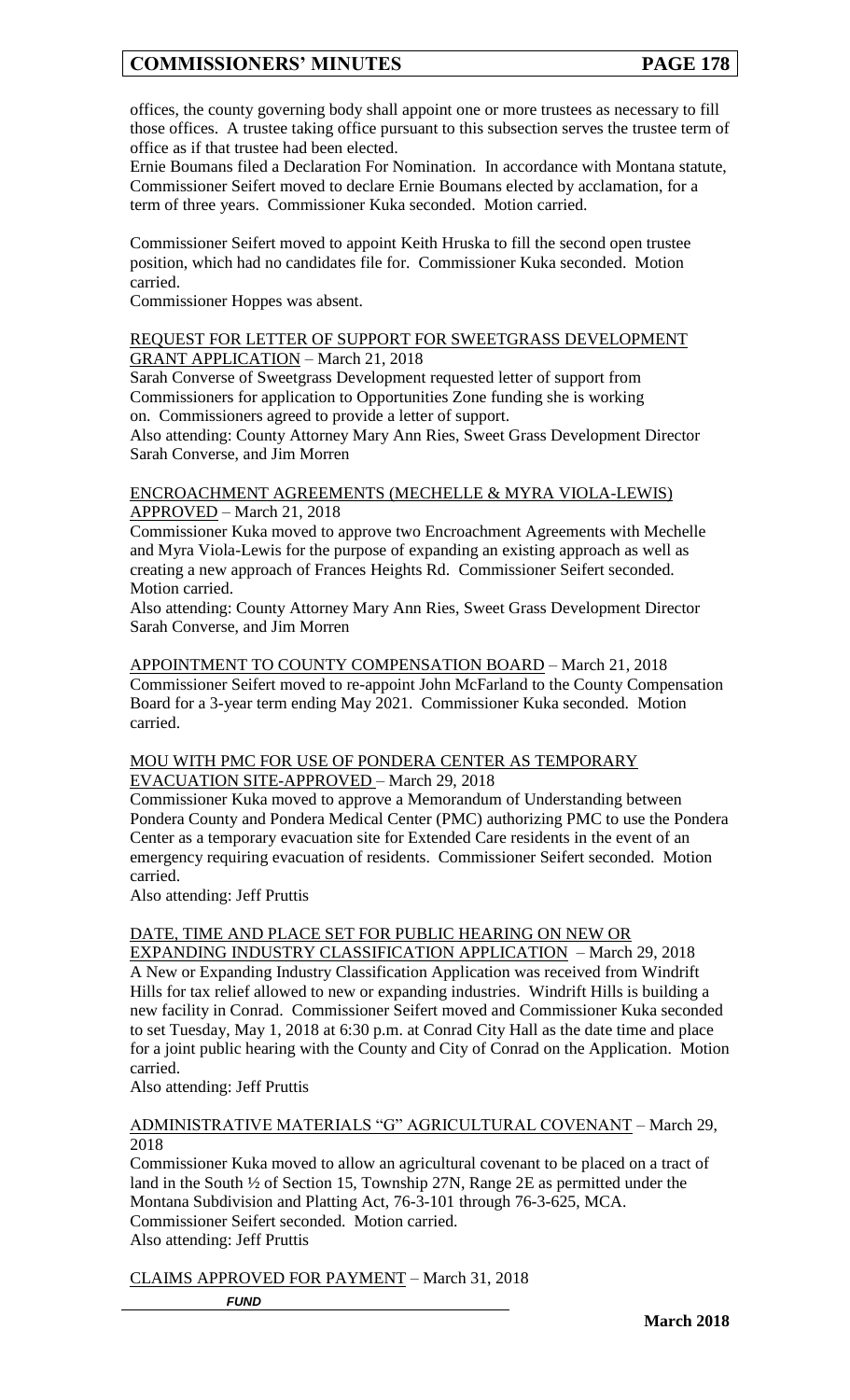## **COMMISSIONERS' MINUTES PAGE 178**

offices, the county governing body shall appoint one or more trustees as necessary to fill those offices. A trustee taking office pursuant to this subsection serves the trustee term of office as if that trustee had been elected.

Ernie Boumans filed a Declaration For Nomination. In accordance with Montana statute, Commissioner Seifert moved to declare Ernie Boumans elected by acclamation, for a term of three years. Commissioner Kuka seconded. Motion carried.

Commissioner Seifert moved to appoint Keith Hruska to fill the second open trustee position, which had no candidates file for. Commissioner Kuka seconded. Motion carried.

Commissioner Hoppes was absent.

### REQUEST FOR LETTER OF SUPPORT FOR SWEETGRASS DEVELOPMENT GRANT APPLICATION – March 21, 2018

Sarah Converse of Sweetgrass Development requested letter of support from Commissioners for application to Opportunities Zone funding she is working on. Commissioners agreed to provide a letter of support.

Also attending: County Attorney Mary Ann Ries, Sweet Grass Development Director Sarah Converse, and Jim Morren

### ENCROACHMENT AGREEMENTS (MECHELLE & MYRA VIOLA-LEWIS) APPROVED – March 21, 2018

Commissioner Kuka moved to approve two Encroachment Agreements with Mechelle and Myra Viola-Lewis for the purpose of expanding an existing approach as well as creating a new approach of Frances Heights Rd. Commissioner Seifert seconded. Motion carried.

Also attending: County Attorney Mary Ann Ries, Sweet Grass Development Director Sarah Converse, and Jim Morren

APPOINTMENT TO COUNTY COMPENSATION BOARD – March 21, 2018 Commissioner Seifert moved to re-appoint John McFarland to the County Compensation Board for a 3-year term ending May 2021. Commissioner Kuka seconded. Motion carried.

### MOU WITH PMC FOR USE OF PONDERA CENTER AS TEMPORARY EVACUATION SITE-APPROVED – March 29, 2018

Commissioner Kuka moved to approve a Memorandum of Understanding between Pondera County and Pondera Medical Center (PMC) authorizing PMC to use the Pondera Center as a temporary evacuation site for Extended Care residents in the event of an emergency requiring evacuation of residents. Commissioner Seifert seconded. Motion carried.

Also attending: Jeff Pruttis

## DATE, TIME AND PLACE SET FOR PUBLIC HEARING ON NEW OR

EXPANDING INDUSTRY CLASSIFICATION APPLICATION – March 29, 2018 A New or Expanding Industry Classification Application was received from Windrift Hills for tax relief allowed to new or expanding industries. Windrift Hills is building a new facility in Conrad. Commissioner Seifert moved and Commissioner Kuka seconded to set Tuesday, May 1, 2018 at 6:30 p.m. at Conrad City Hall as the date time and place for a joint public hearing with the County and City of Conrad on the Application. Motion carried.

Also attending: Jeff Pruttis

### ADMINISTRATIVE MATERIALS "G" AGRICULTURAL COVENANT – March 29, 2018

Commissioner Kuka moved to allow an agricultural covenant to be placed on a tract of land in the South ½ of Section 15, Township 27N, Range 2E as permitted under the Montana Subdivision and Platting Act, 76-3-101 through 76-3-625, MCA. Commissioner Seifert seconded. Motion carried. Also attending: Jeff Pruttis

CLAIMS APPROVED FOR PAYMENT – March 31, 2018

*FUND*